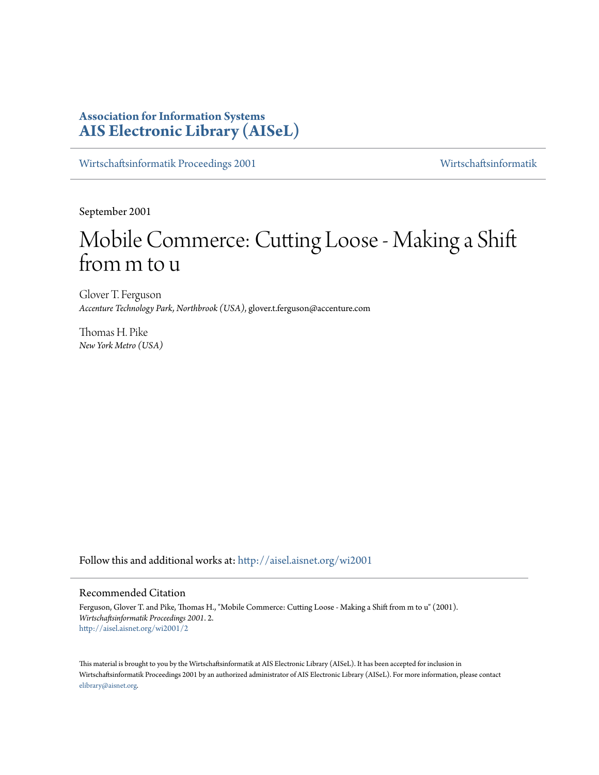## **Association for Information Systems [AIS Electronic Library \(AISeL\)](http://aisel.aisnet.org?utm_source=aisel.aisnet.org%2Fwi2001%2F2&utm_medium=PDF&utm_campaign=PDFCoverPages)**

[Wirtschaftsinformatik Proceedings 2001](http://aisel.aisnet.org/wi2001?utm_source=aisel.aisnet.org%2Fwi2001%2F2&utm_medium=PDF&utm_campaign=PDFCoverPages) [Wirtschaftsinformatik](http://aisel.aisnet.org/wi?utm_source=aisel.aisnet.org%2Fwi2001%2F2&utm_medium=PDF&utm_campaign=PDFCoverPages)

September 2001

# Mobile Commerce: Cutting Loose - Making a Shift from m to u

Glover T. Ferguson *Accenture Technology Park, Northbrook (USA)*, glover.t.ferguson@accenture.com

Thomas H. Pike *New York Metro (USA)*

Follow this and additional works at: [http://aisel.aisnet.org/wi2001](http://aisel.aisnet.org/wi2001?utm_source=aisel.aisnet.org%2Fwi2001%2F2&utm_medium=PDF&utm_campaign=PDFCoverPages)

#### Recommended Citation

Ferguson, Glover T. and Pike, Thomas H., "Mobile Commerce: Cutting Loose - Making a Shift from m to u" (2001). *Wirtschaftsinformatik Proceedings 2001*. 2. [http://aisel.aisnet.org/wi2001/2](http://aisel.aisnet.org/wi2001/2?utm_source=aisel.aisnet.org%2Fwi2001%2F2&utm_medium=PDF&utm_campaign=PDFCoverPages)

This material is brought to you by the Wirtschaftsinformatik at AIS Electronic Library (AISeL). It has been accepted for inclusion in Wirtschaftsinformatik Proceedings 2001 by an authorized administrator of AIS Electronic Library (AISeL). For more information, please contact [elibrary@aisnet.org.](mailto:elibrary@aisnet.org%3E)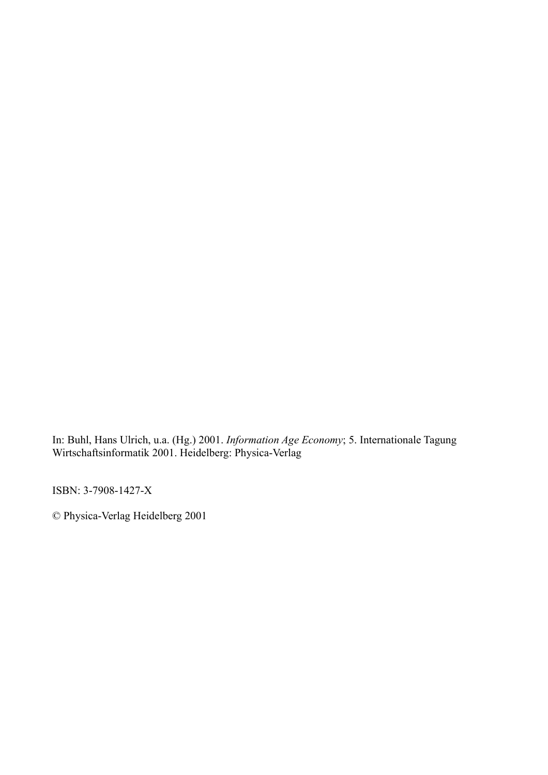In: Buhl, Hans Ulrich, u.a. (Hg.) 2001. *Information Age Economy*; 5. Internationale Tagung Wirtschaftsinformatik 2001. Heidelberg: Physica-Verlag

ISBN: 3-7908-1427-X

© Physica-Verlag Heidelberg 2001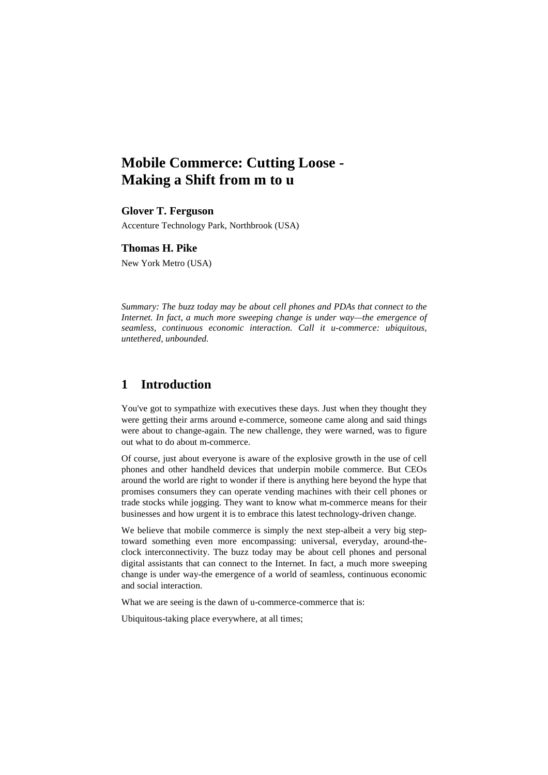# **Mobile Commerce: Cutting Loose - Making a Shift from m to u**

#### **Glover T. Ferguson**

Accenture Technology Park, Northbrook (USA)

#### **Thomas H. Pike**

New York Metro (USA)

*Summary: The buzz today may be about cell phones and PDAs that connect to the Internet. In fact, a much more sweeping change is under way—the emergence of seamless, continuous economic interaction. Call it u-commerce: ubiquitous, untethered, unbounded.* 

## **1 Introduction**

You've got to sympathize with executives these days. Just when they thought they were getting their arms around e-commerce, someone came along and said things were about to change-again. The new challenge, they were warned, was to figure out what to do about m-commerce.

Of course, just about everyone is aware of the explosive growth in the use of cell phones and other handheld devices that underpin mobile commerce. But CEOs around the world are right to wonder if there is anything here beyond the hype that promises consumers they can operate vending machines with their cell phones or trade stocks while jogging. They want to know what m-commerce means for their businesses and how urgent it is to embrace this latest technology-driven change.

We believe that mobile commerce is simply the next step-albeit a very big steptoward something even more encompassing: universal, everyday, around-theclock interconnectivity. The buzz today may be about cell phones and personal digital assistants that can connect to the Internet. In fact, a much more sweeping change is under way-the emergence of a world of seamless, continuous economic and social interaction.

What we are seeing is the dawn of u-commerce-commerce that is:

Ubiquitous-taking place everywhere, at all times;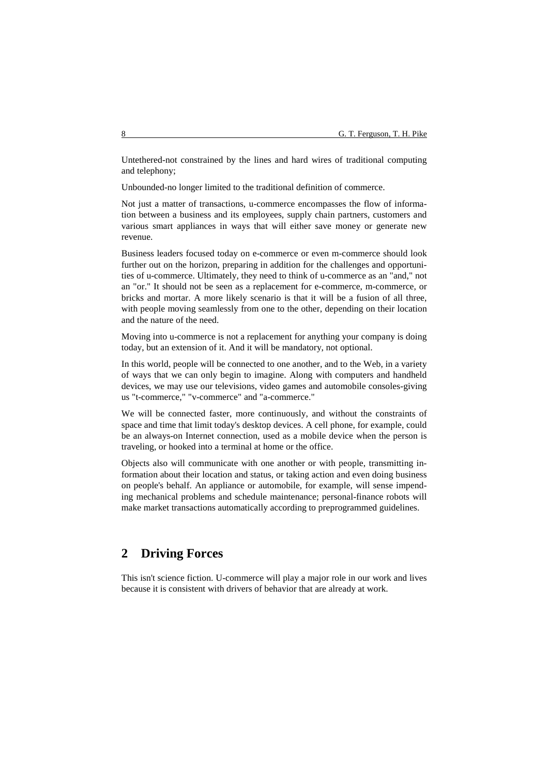Untethered-not constrained by the lines and hard wires of traditional computing and telephony;

Unbounded-no longer limited to the traditional definition of commerce.

Not just a matter of transactions, u-commerce encompasses the flow of information between a business and its employees, supply chain partners, customers and various smart appliances in ways that will either save money or generate new revenue.

Business leaders focused today on e-commerce or even m-commerce should look further out on the horizon, preparing in addition for the challenges and opportunities of u-commerce. Ultimately, they need to think of u-commerce as an "and," not an "or." It should not be seen as a replacement for e-commerce, m-commerce, or bricks and mortar. A more likely scenario is that it will be a fusion of all three, with people moving seamlessly from one to the other, depending on their location and the nature of the need.

Moving into u-commerce is not a replacement for anything your company is doing today, but an extension of it. And it will be mandatory, not optional.

In this world, people will be connected to one another, and to the Web, in a variety of ways that we can only begin to imagine. Along with computers and handheld devices, we may use our televisions, video games and automobile consoles-giving us "t-commerce," "v-commerce" and "a-commerce."

We will be connected faster, more continuously, and without the constraints of space and time that limit today's desktop devices. A cell phone, for example, could be an always-on Internet connection, used as a mobile device when the person is traveling, or hooked into a terminal at home or the office.

Objects also will communicate with one another or with people, transmitting information about their location and status, or taking action and even doing business on people's behalf. An appliance or automobile, for example, will sense impending mechanical problems and schedule maintenance; personal-finance robots will make market transactions automatically according to preprogrammed guidelines.

## **2 Driving Forces**

This isn't science fiction. U-commerce will play a major role in our work and lives because it is consistent with drivers of behavior that are already at work.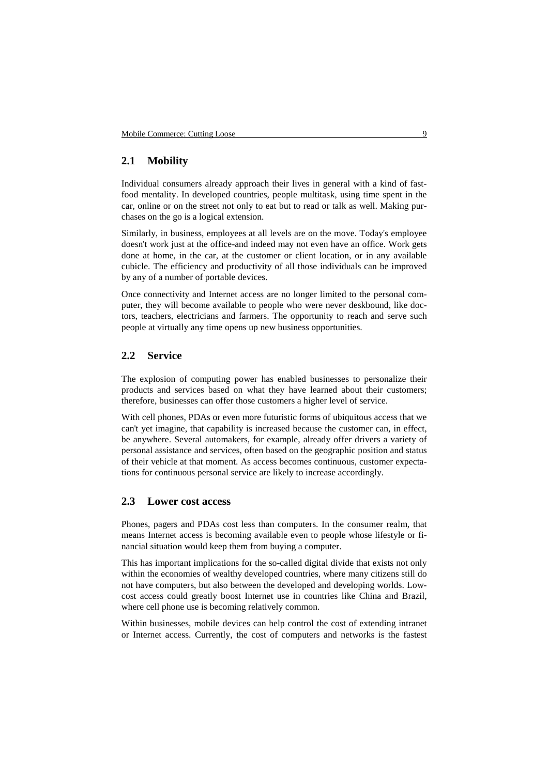#### **2.1 Mobility**

Individual consumers already approach their lives in general with a kind of fastfood mentality. In developed countries, people multitask, using time spent in the car, online or on the street not only to eat but to read or talk as well. Making purchases on the go is a logical extension.

Similarly, in business, employees at all levels are on the move. Today's employee doesn't work just at the office-and indeed may not even have an office. Work gets done at home, in the car, at the customer or client location, or in any available cubicle. The efficiency and productivity of all those individuals can be improved by any of a number of portable devices.

Once connectivity and Internet access are no longer limited to the personal computer, they will become available to people who were never deskbound, like doctors, teachers, electricians and farmers. The opportunity to reach and serve such people at virtually any time opens up new business opportunities.

#### **2.2 Service**

The explosion of computing power has enabled businesses to personalize their products and services based on what they have learned about their customers; therefore, businesses can offer those customers a higher level of service.

With cell phones, PDAs or even more futuristic forms of ubiquitous access that we can't yet imagine, that capability is increased because the customer can, in effect, be anywhere. Several automakers, for example, already offer drivers a variety of personal assistance and services, often based on the geographic position and status of their vehicle at that moment. As access becomes continuous, customer expectations for continuous personal service are likely to increase accordingly.

#### **2.3 Lower cost access**

Phones, pagers and PDAs cost less than computers. In the consumer realm, that means Internet access is becoming available even to people whose lifestyle or financial situation would keep them from buying a computer.

This has important implications for the so-called digital divide that exists not only within the economies of wealthy developed countries, where many citizens still do not have computers, but also between the developed and developing worlds. Lowcost access could greatly boost Internet use in countries like China and Brazil, where cell phone use is becoming relatively common.

Within businesses, mobile devices can help control the cost of extending intranet or Internet access. Currently, the cost of computers and networks is the fastest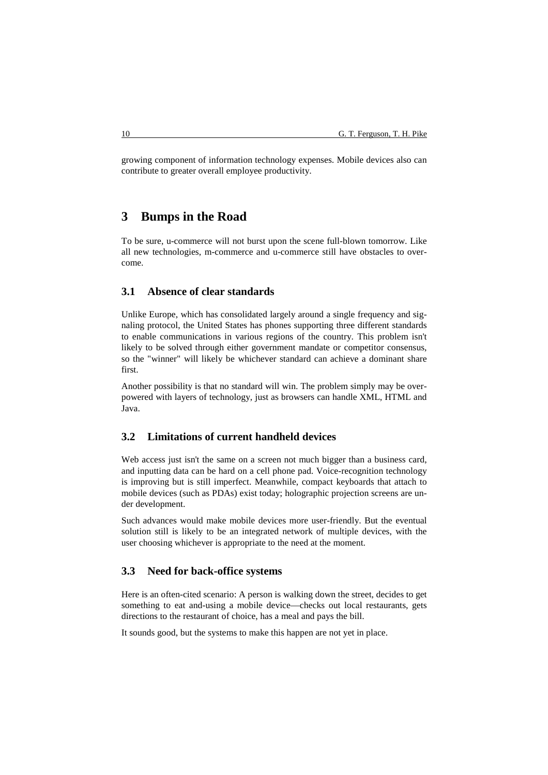growing component of information technology expenses. Mobile devices also can contribute to greater overall employee productivity.

## **3 Bumps in the Road**

To be sure, u-commerce will not burst upon the scene full-blown tomorrow. Like all new technologies, m-commerce and u-commerce still have obstacles to overcome.

#### **3.1 Absence of clear standards**

Unlike Europe, which has consolidated largely around a single frequency and signaling protocol, the United States has phones supporting three different standards to enable communications in various regions of the country. This problem isn't likely to be solved through either government mandate or competitor consensus, so the "winner" will likely be whichever standard can achieve a dominant share first.

Another possibility is that no standard will win. The problem simply may be overpowered with layers of technology, just as browsers can handle XML, HTML and Java.

#### **3.2 Limitations of current handheld devices**

Web access just isn't the same on a screen not much bigger than a business card, and inputting data can be hard on a cell phone pad. Voice-recognition technology is improving but is still imperfect. Meanwhile, compact keyboards that attach to mobile devices (such as PDAs) exist today; holographic projection screens are under development.

Such advances would make mobile devices more user-friendly. But the eventual solution still is likely to be an integrated network of multiple devices, with the user choosing whichever is appropriate to the need at the moment.

#### **3.3 Need for back-office systems**

Here is an often-cited scenario: A person is walking down the street, decides to get something to eat and-using a mobile device—checks out local restaurants, gets directions to the restaurant of choice, has a meal and pays the bill.

It sounds good, but the systems to make this happen are not yet in place.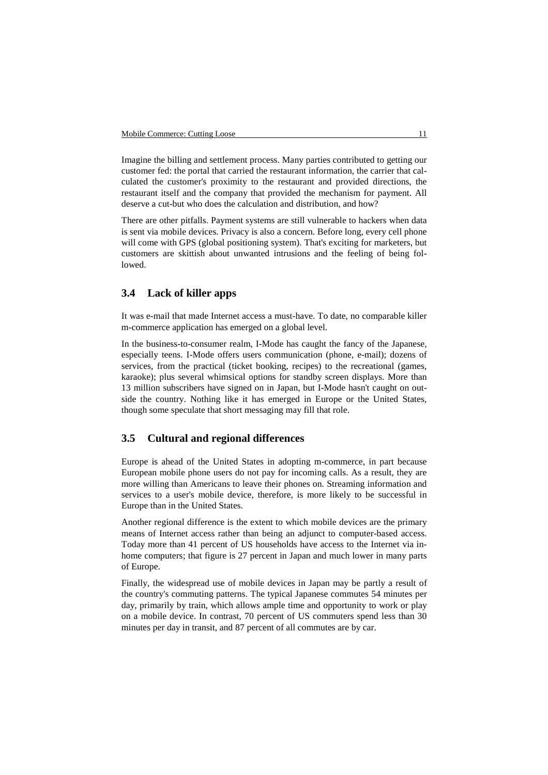Imagine the billing and settlement process. Many parties contributed to getting our customer fed: the portal that carried the restaurant information, the carrier that calculated the customer's proximity to the restaurant and provided directions, the restaurant itself and the company that provided the mechanism for payment. All deserve a cut-but who does the calculation and distribution, and how?

There are other pitfalls. Payment systems are still vulnerable to hackers when data is sent via mobile devices. Privacy is also a concern. Before long, every cell phone will come with GPS (global positioning system). That's exciting for marketers, but customers are skittish about unwanted intrusions and the feeling of being followed.

#### **3.4 Lack of killer apps**

It was e-mail that made Internet access a must-have. To date, no comparable killer m-commerce application has emerged on a global level.

In the business-to-consumer realm, I-Mode has caught the fancy of the Japanese, especially teens. I-Mode offers users communication (phone, e-mail); dozens of services, from the practical (ticket booking, recipes) to the recreational (games, karaoke); plus several whimsical options for standby screen displays. More than 13 million subscribers have signed on in Japan, but I-Mode hasn't caught on outside the country. Nothing like it has emerged in Europe or the United States, though some speculate that short messaging may fill that role.

#### **3.5 Cultural and regional differences**

Europe is ahead of the United States in adopting m-commerce, in part because European mobile phone users do not pay for incoming calls. As a result, they are more willing than Americans to leave their phones on. Streaming information and services to a user's mobile device, therefore, is more likely to be successful in Europe than in the United States.

Another regional difference is the extent to which mobile devices are the primary means of Internet access rather than being an adjunct to computer-based access. Today more than 41 percent of US households have access to the Internet via inhome computers; that figure is 27 percent in Japan and much lower in many parts of Europe.

Finally, the widespread use of mobile devices in Japan may be partly a result of the country's commuting patterns. The typical Japanese commutes 54 minutes per day, primarily by train, which allows ample time and opportunity to work or play on a mobile device. In contrast, 70 percent of US commuters spend less than 30 minutes per day in transit, and 87 percent of all commutes are by car.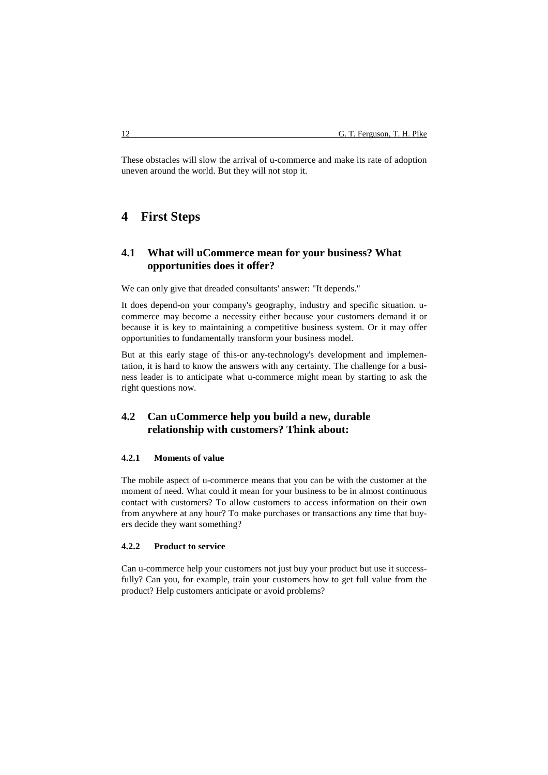These obstacles will slow the arrival of u-commerce and make its rate of adoption uneven around the world. But they will not stop it.

## **4 First Steps**

### **4.1 What will uCommerce mean for your business? What opportunities does it offer?**

We can only give that dreaded consultants' answer: "It depends."

It does depend-on your company's geography, industry and specific situation. ucommerce may become a necessity either because your customers demand it or because it is key to maintaining a competitive business system. Or it may offer opportunities to fundamentally transform your business model.

But at this early stage of this-or any-technology's development and implementation, it is hard to know the answers with any certainty. The challenge for a business leader is to anticipate what u-commerce might mean by starting to ask the right questions now.

## **4.2 Can uCommerce help you build a new, durable relationship with customers? Think about:**

#### **4.2.1 Moments of value**

The mobile aspect of u-commerce means that you can be with the customer at the moment of need. What could it mean for your business to be in almost continuous contact with customers? To allow customers to access information on their own from anywhere at any hour? To make purchases or transactions any time that buyers decide they want something?

#### **4.2.2 Product to service**

Can u-commerce help your customers not just buy your product but use it successfully? Can you, for example, train your customers how to get full value from the product? Help customers anticipate or avoid problems?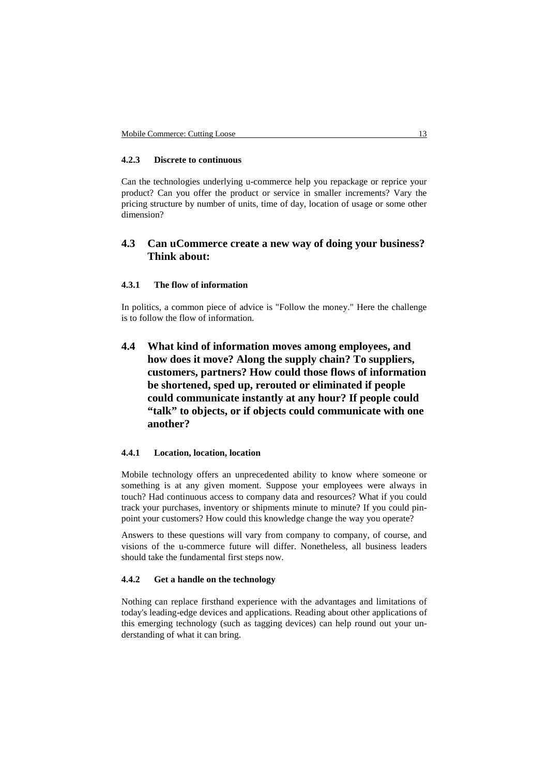#### **4.2.3 Discrete to continuous**

Can the technologies underlying u-commerce help you repackage or reprice your product? Can you offer the product or service in smaller increments? Vary the pricing structure by number of units, time of day, location of usage or some other dimension?

## **4.3 Can uCommerce create a new way of doing your business? Think about:**

#### **4.3.1 The flow of information**

In politics, a common piece of advice is "Follow the money." Here the challenge is to follow the flow of information.

**4.4 What kind of information moves among employees, and how does it move? Along the supply chain? To suppliers, customers, partners? How could those flows of information be shortened, sped up, rerouted or eliminated if people could communicate instantly at any hour? If people could "talk" to objects, or if objects could communicate with one another?** 

#### **4.4.1 Location, location, location**

Mobile technology offers an unprecedented ability to know where someone or something is at any given moment. Suppose your employees were always in touch? Had continuous access to company data and resources? What if you could track your purchases, inventory or shipments minute to minute? If you could pinpoint your customers? How could this knowledge change the way you operate?

Answers to these questions will vary from company to company, of course, and visions of the u-commerce future will differ. Nonetheless, all business leaders should take the fundamental first steps now.

#### **4.4.2 Get a handle on the technology**

Nothing can replace firsthand experience with the advantages and limitations of today's leading-edge devices and applications. Reading about other applications of this emerging technology (such as tagging devices) can help round out your understanding of what it can bring.